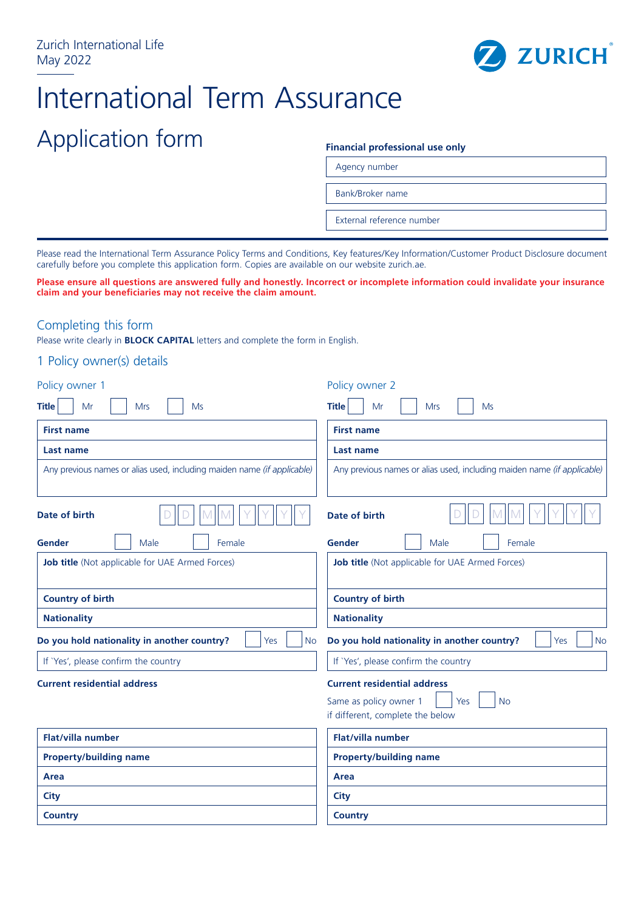

## International Term Assurance

## Application form

#### **Financial professional use only**

Agency number

Bank/Broker name

External reference number

Please read the International Term Assurance Policy Terms and Conditions, Key features/Key Information/Customer Product Disclosure document carefully before you complete this application form. Copies are available on our website zurich.ae.

**Please ensure all questions are answered fully and honestly. Incorrect or incomplete information could invalidate your insurance claim and your beneficiaries may not receive the claim amount.**

#### Completing this form

Please write clearly in **BLOCK CAPITAL** letters and complete the form in English.

## 1 Policy owner(s) details

| Policy owner 1                                                          | Policy owner 2                                                          |  |  |  |
|-------------------------------------------------------------------------|-------------------------------------------------------------------------|--|--|--|
| <b>Title</b><br>Mr<br>Ms<br><b>Mrs</b>                                  | <b>Title</b><br>Mr<br>Mrs<br>Ms                                         |  |  |  |
| <b>First name</b>                                                       | <b>First name</b>                                                       |  |  |  |
| Last name                                                               | <b>Last name</b>                                                        |  |  |  |
| Any previous names or alias used, including maiden name (if applicable) | Any previous names or alias used, including maiden name (if applicable) |  |  |  |
| Date of birth                                                           | Date of birth                                                           |  |  |  |
| Gender<br>Female<br>Male                                                | Gender<br>Female<br>Male                                                |  |  |  |
| Job title (Not applicable for UAE Armed Forces)                         | Job title (Not applicable for UAE Armed Forces)                         |  |  |  |
|                                                                         |                                                                         |  |  |  |
| <b>Country of birth</b>                                                 | <b>Country of birth</b>                                                 |  |  |  |
| <b>Nationality</b>                                                      | <b>Nationality</b>                                                      |  |  |  |
| Do you hold nationality in another country?<br>Yes<br><b>No</b>         | Do you hold nationality in another country?<br><b>No</b><br>Yes         |  |  |  |
| If 'Yes', please confirm the country                                    | If 'Yes', please confirm the country                                    |  |  |  |
| <b>Current residential address</b>                                      | <b>Current residential address</b>                                      |  |  |  |
|                                                                         | Same as policy owner 1<br><b>No</b><br>Yes                              |  |  |  |
|                                                                         | if different, complete the below                                        |  |  |  |
| Flat/villa number                                                       | <b>Flat/villa number</b>                                                |  |  |  |
| <b>Property/building name</b>                                           | <b>Property/building name</b>                                           |  |  |  |
| Area                                                                    | Area                                                                    |  |  |  |
| <b>City</b>                                                             | <b>City</b>                                                             |  |  |  |
| <b>Country</b>                                                          | <b>Country</b>                                                          |  |  |  |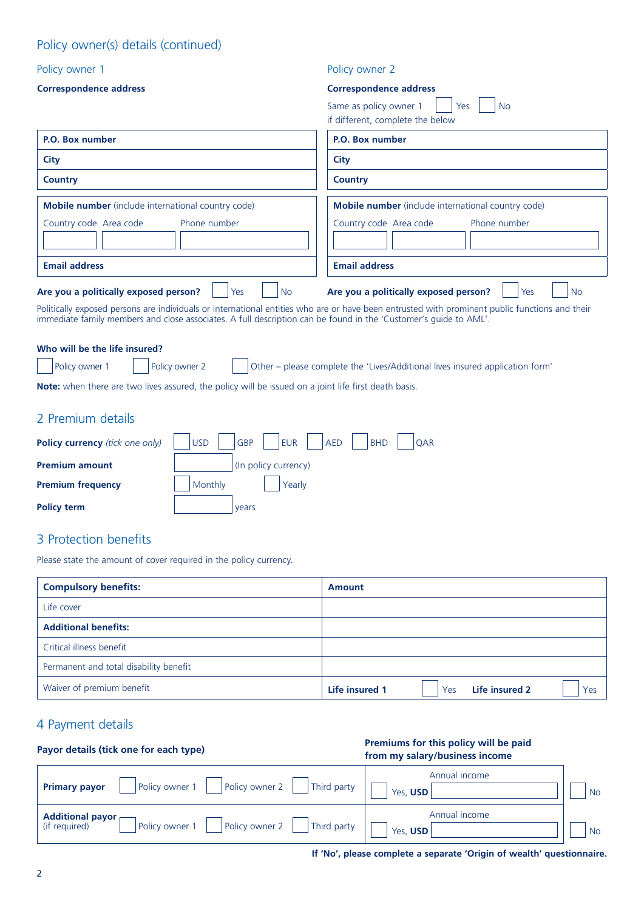## Policy owner(s) details (continued)

| Policy owner 1                                                                                                                                                                                                                                                                                                                  | Policy owner 2                                                                                                       |
|---------------------------------------------------------------------------------------------------------------------------------------------------------------------------------------------------------------------------------------------------------------------------------------------------------------------------------|----------------------------------------------------------------------------------------------------------------------|
| <b>Correspondence address</b>                                                                                                                                                                                                                                                                                                   | <b>Correspondence address</b><br>Same as policy owner 1<br><b>No</b><br>Yes<br>if different, complete the below      |
| P.O. Box number                                                                                                                                                                                                                                                                                                                 | P.O. Box number                                                                                                      |
| City                                                                                                                                                                                                                                                                                                                            | City                                                                                                                 |
| <b>Country</b>                                                                                                                                                                                                                                                                                                                  | <b>Country</b>                                                                                                       |
| Mobile number (include international country code)<br>Country code Area code<br>Phone number<br><b>Email address</b>                                                                                                                                                                                                            | Mobile number (include international country code)<br>Country code Area code<br>Phone number<br><b>Email address</b> |
| Are you a politically exposed person?<br><b>No</b><br>Yes<br>Politically exposed persons are individuals or international entities who are or have been entrusted with prominent public functions and their<br>immediate family members and close associates. A full description can be found in the 'Customer's guide to AML'. | Are you a politically exposed person?<br>Yes<br><b>No</b>                                                            |
| Who will be the life insured?<br>Policy owner 2<br>Policy owner 1<br>Note: when there are two lives assured, the policy will be issued on a joint life first death basis.                                                                                                                                                       | Other - please complete the 'Lives/Additional lives insured application form'                                        |

## 2 Premium details

| Policy currency (tick one only) | $ $ GBP $ $ $ $ EUR $ $<br>AED<br>BHD<br>USD<br><b>QAR</b> |
|---------------------------------|------------------------------------------------------------|
| <b>Premium amount</b>           | (In policy currency)                                       |
| <b>Premium frequency</b>        | Monthly<br>Yearly                                          |
| <b>Policy term</b>              | vears                                                      |

## 3 Protection benefits

Please state the amount of cover required in the policy currency.

| <b>Compulsory benefits:</b>            | <b>Amount</b>                                  |
|----------------------------------------|------------------------------------------------|
| Life cover                             |                                                |
| <b>Additional benefits:</b>            |                                                |
| Critical illness benefit               |                                                |
| Permanent and total disability benefit |                                                |
| Waiver of premium benefit              | Life insured 2<br>Life insured 1<br>Yes<br>Yes |

## 4 Payment details

| Payor details (tick one for each type)                                                              | Premiums for this policy will be paid<br>from my salary/business income |           |  |
|-----------------------------------------------------------------------------------------------------|-------------------------------------------------------------------------|-----------|--|
| Policy owner 1     Policy owner 2     Third party<br><b>Primary payor</b>                           | Annual income<br>Yes, USD                                               | <b>No</b> |  |
| <b>Additional payor</b><br>Policy owner 2<br>Policy owner 1<br>$\vert$ Third party<br>(if required) | Annual income<br>Yes, USD                                               | <b>No</b> |  |

**If 'No', please complete a separate 'Origin of wealth' questionnaire.**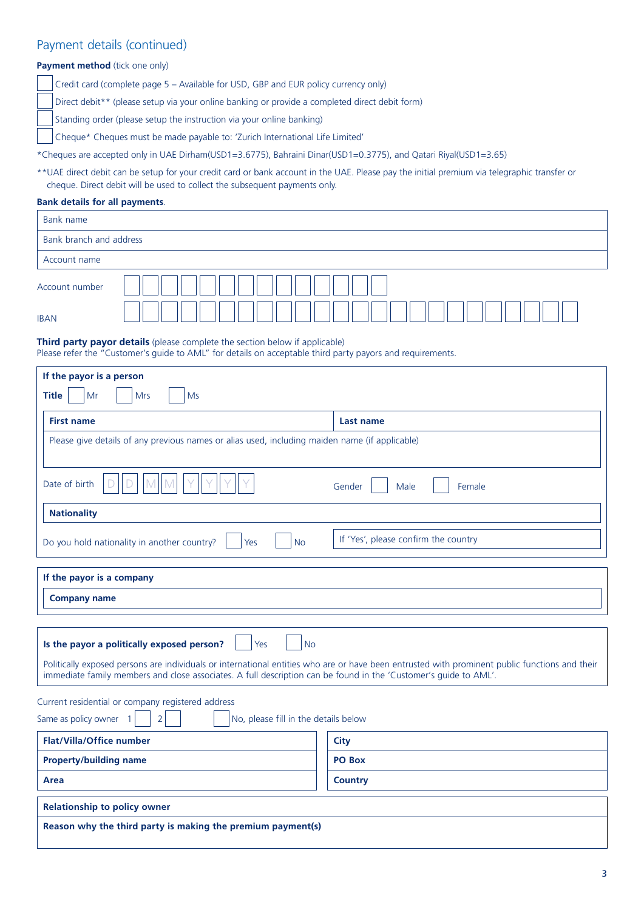## Payment details (continued)

#### **Payment method** (tick one only)

Credit card (complete page 5 – Available for USD, GBP and EUR policy currency only)

Direct debit\*\* (please setup via your online banking or provide a completed direct debit form)

Standing order (please setup the instruction via your online banking)

Cheque\* Cheques must be made payable to: 'Zurich International Life Limited'

\*Cheques are accepted only in UAE Dirham(USD1=3.6775), Bahraini Dinar(USD1=0.3775), and Qatari Riyal(USD1=3.65)

\*\*UAE direct debit can be setup for your credit card or bank account in the UAE. Please pay the initial premium via telegraphic transfer or cheque. Direct debit will be used to collect the subsequent payments only.

#### **Bank details for all payments**.

| Bank name               |  |
|-------------------------|--|
| Bank branch and address |  |
| Account name            |  |
| Account number          |  |
| <b>IBAN</b>             |  |

#### **Third party payor details** (please complete the section below if applicable) Please refer the "Customer's guide to AML" for details on acceptable third party payors and requirements.

| If the payor is a person<br>Title<br>Mr<br>Ms<br><b>Mrs</b>                                    |                                      |
|------------------------------------------------------------------------------------------------|--------------------------------------|
| <b>First name</b>                                                                              | Last name                            |
| Please give details of any previous names or alias used, including maiden name (if applicable) |                                      |
| Date of birth                                                                                  | Gender<br>Male<br>Female             |
| <b>Nationality</b>                                                                             |                                      |
| Do you hold nationality in another country?<br><b>No</b><br>Yes                                | If 'Yes', please confirm the country |

## **If the payor is a company Company name**

| Is the payor a politically exposed person?<br>Yes<br>N٥                                                                                                                                                                                                            |               |
|--------------------------------------------------------------------------------------------------------------------------------------------------------------------------------------------------------------------------------------------------------------------|---------------|
| Politically exposed persons are individuals or international entities who are or have been entrusted with prominent public functions and their<br>immediate family members and close associates. A full description can be found in the 'Customer's quide to AML'. |               |
| Current residential or company registered address                                                                                                                                                                                                                  |               |
| Same as policy owner<br>No, please fill in the details below                                                                                                                                                                                                       |               |
| <b>Flat/Villa/Office number</b>                                                                                                                                                                                                                                    | City          |
| <b>Property/building name</b>                                                                                                                                                                                                                                      | <b>PO Box</b> |
| Area                                                                                                                                                                                                                                                               | Country       |
|                                                                                                                                                                                                                                                                    |               |
| <b>Relationship to policy owner</b>                                                                                                                                                                                                                                |               |
| Reason why the third party is making the premium payment(s)                                                                                                                                                                                                        |               |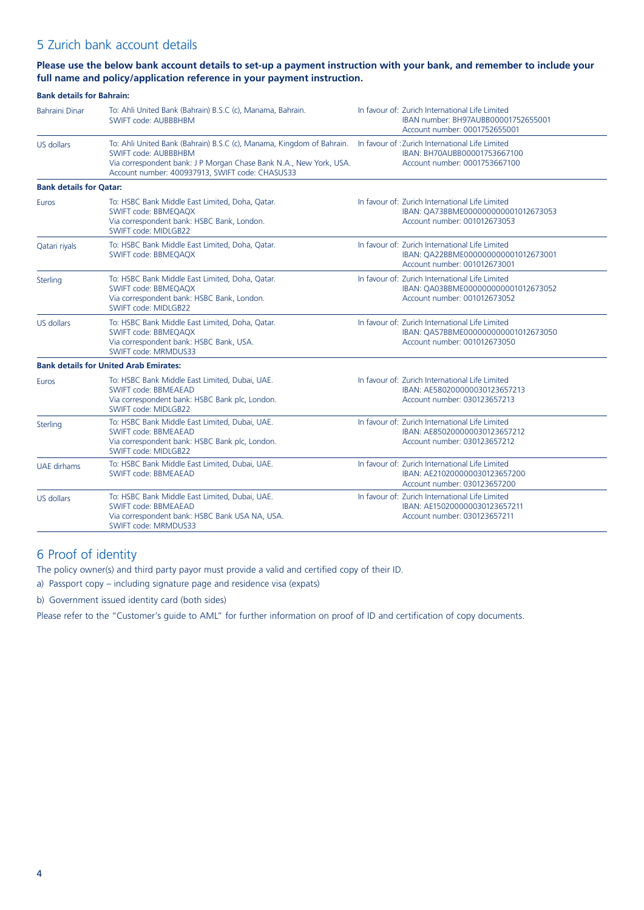## 5 Zurich bank account details

#### **Please use the below bank account details to set-up a payment instruction with your bank, and remember to include your full name and policy/application reference in your payment instruction.**

| <b>Bank details for Bahrain:</b> |                                                                                                                                                                                                                                                                         |                                                                                                                         |
|----------------------------------|-------------------------------------------------------------------------------------------------------------------------------------------------------------------------------------------------------------------------------------------------------------------------|-------------------------------------------------------------------------------------------------------------------------|
| <b>Bahraini Dinar</b>            | To: Ahli United Bank (Bahrain) B.S.C (c), Manama, Bahrain.<br><b>SWIFT code: AUBBBHBM</b>                                                                                                                                                                               | In favour of: Zurich International Life Limited<br>IBAN number: BH97AUBB00001752655001<br>Account number: 0001752655001 |
| US dollars                       | To: Ahli United Bank (Bahrain) B.S.C (c), Manama, Kingdom of Bahrain. In favour of : Zurich International Life Limited<br>SWIFT code: AUBBBHBM<br>Via correspondent bank: J P Morgan Chase Bank N.A., New York, USA.<br>Account number: 400937913, SWIFT code: CHASUS33 | IBAN: BH70AUBB00001753667100<br>Account number: 0001753667100                                                           |
| <b>Bank details for Qatar:</b>   |                                                                                                                                                                                                                                                                         |                                                                                                                         |
| Euros                            | To: HSBC Bank Middle East Limited, Doha, Qatar.<br>SWIFT code: BBMEQAQX<br>Via correspondent bank: HSBC Bank, London.<br>SWIFT code: MIDLGB22                                                                                                                           | In favour of: Zurich International Life Limited<br>IBAN: QA73BBME000000000001012673053<br>Account number: 001012673053  |
| Qatari riyals                    | To: HSBC Bank Middle East Limited, Doha, Qatar.<br>SWIFT code: BBMEQAQX                                                                                                                                                                                                 | In favour of: Zurich International Life Limited<br>IBAN: OA22BBME000000000001012673001<br>Account number: 001012673001  |
| Sterling                         | To: HSBC Bank Middle East Limited, Doha, Qatar.<br>SWIFT code: BBMEQAQX<br>Via correspondent bank: HSBC Bank, London.<br>SWIFT code: MIDLGB22                                                                                                                           | In favour of: Zurich International Life Limited<br>IBAN: QA03BBME000000000001012673052<br>Account number: 001012673052  |
| <b>US dollars</b>                | To: HSBC Bank Middle East Limited, Doha, Qatar.<br>SWIFT code: BBMEQAQX<br>Via correspondent bank: HSBC Bank, USA.<br>SWIFT code: MRMDUS33                                                                                                                              | In favour of: Zurich International Life Limited<br>IBAN: QA57BBME000000000001012673050<br>Account number: 001012673050  |
|                                  | <b>Bank details for United Arab Emirates:</b>                                                                                                                                                                                                                           |                                                                                                                         |
| Euros                            | To: HSBC Bank Middle East Limited, Dubai, UAE.<br>SWIFT code: BBMEAEAD<br>Via correspondent bank: HSBC Bank plc, London.<br>SWIFT code: MIDLGB22                                                                                                                        | In favour of: Zurich International Life Limited<br>IBAN: AE580200000030123657213<br>Account number: 030123657213        |
| Sterling                         | To: HSBC Bank Middle East Limited, Dubai, UAE.<br>SWIFT code: BBMEAEAD<br>Via correspondent bank: HSBC Bank plc, London.<br>SWIFT code: MIDLGB22                                                                                                                        | In favour of: Zurich International Life Limited<br>IBAN: AE850200000030123657212<br>Account number: 030123657212        |
| <b>UAE</b> dirhams               | To: HSBC Bank Middle East Limited, Dubai, UAE.<br><b>SWIFT code: BBMEAEAD</b>                                                                                                                                                                                           | In favour of: Zurich International Life Limited<br>IBAN: AE210200000030123657200<br>Account number: 030123657200        |
| US dollars                       | To: HSBC Bank Middle East Limited, Dubai, UAE.<br>SWIFT code: BBMEAEAD<br>Via correspondent bank: HSBC Bank USA NA, USA.<br>SWIFT code: MRMDUS33                                                                                                                        | In favour of: Zurich International Life Limited<br>IBAN: AE150200000030123657211<br>Account number: 030123657211        |

## 6 Proof of identity

The policy owner(s) and third party payor must provide a valid and certified copy of their ID.

a) Passport copy – including signature page and residence visa (expats)

b) Government issued identity card (both sides)

Please refer to the "Customer's guide to AML" for further information on proof of ID and certification of copy documents.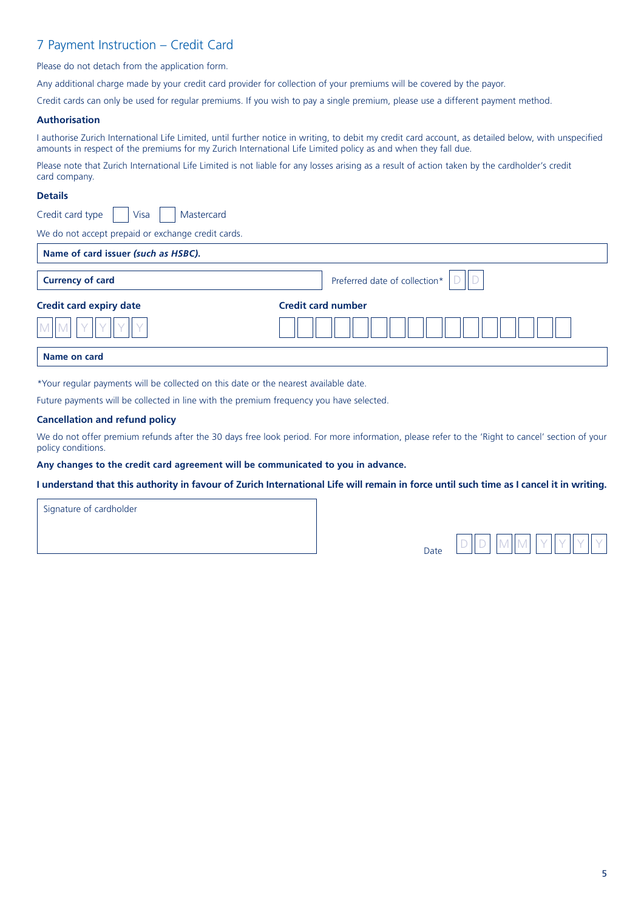## 7 Payment Instruction – Credit Card

Please do not detach from the application form.

Any additional charge made by your credit card provider for collection of your premiums will be covered by the payor.

Credit cards can only be used for regular premiums. If you wish to pay a single premium, please use a different payment method.

#### **Authorisation**

I authorise Zurich International Life Limited, until further notice in writing, to debit my credit card account, as detailed below, with unspecified amounts in respect of the premiums for my Zurich International Life Limited policy as and when they fall due.

Please note that Zurich International Life Limited is not liable for any losses arising as a result of action taken by the cardholder's credit card company.

#### **Details**

| Credit card type | Visa |  | Mastercard |
|------------------|------|--|------------|
|------------------|------|--|------------|

We do not accept prepaid or exchange credit cards.

| Name of card issuer (such as HSBC). |                               |
|-------------------------------------|-------------------------------|
| <b>Currency of card</b>             | Preferred date of collection* |
| <b>Credit card expiry date</b>      | <b>Credit card number</b>     |
|                                     |                               |
| Name on card                        |                               |

*\**Your regular payments will be collected on this date or the nearest available date.

Future payments will be collected in line with the premium frequency you have selected.

#### **Cancellation and refund policy**

We do not offer premium refunds after the 30 days free look period. For more information, please refer to the 'Right to cancel' section of your policy conditions.

**Any changes to the credit card agreement will be communicated to you in advance.**

**I understand that this authority in favour of Zurich International Life will remain in force until such time as I cancel it in writing.**

Signature of cardholder

| <b>Date</b> |  |  | ×.<br>n | h |  |  |  |  |
|-------------|--|--|---------|---|--|--|--|--|
|-------------|--|--|---------|---|--|--|--|--|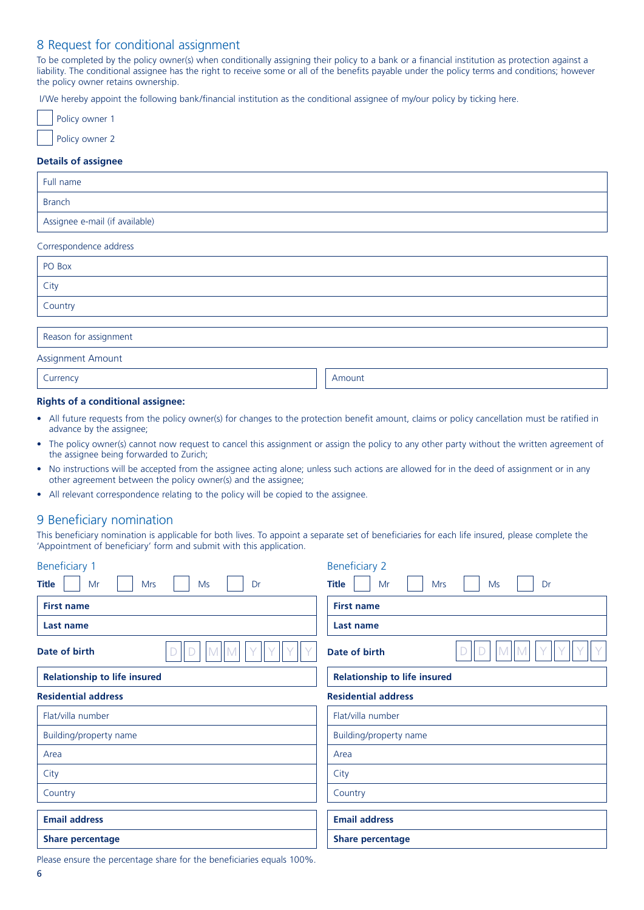## 8 Request for conditional assignment

To be completed by the policy owner(s) when conditionally assigning their policy to a bank or a financial institution as protection against a liability. The conditional assignee has the right to receive some or all of the benefits payable under the policy terms and conditions; however the policy owner retains ownership.

I/We hereby appoint the following bank/financial institution as the conditional assignee of my/our policy by ticking here.

| Policy owner 1 |  |
|----------------|--|
| Policy owner 2 |  |

#### **Details of assignee**

| Full name                      |
|--------------------------------|
| <b>Branch</b>                  |
| Assignee e-mail (if available) |

#### Correspondence address

| PO Box                |        |
|-----------------------|--------|
| City                  |        |
| Country               |        |
|                       |        |
| Reason for assignment |        |
| Assignment Amount     |        |
| Currency              | Amount |
|                       |        |

#### **Rights of a conditional assignee:**

- All future requests from the policy owner(s) for changes to the protection benefit amount, claims or policy cancellation must be ratified in advance by the assignee;
- The policy owner(s) cannot now request to cancel this assignment or assign the policy to any other party without the written agreement of the assignee being forwarded to Zurich;
- No instructions will be accepted from the assignee acting alone; unless such actions are allowed for in the deed of assignment or in any other agreement between the policy owner(s) and the assignee;
- All relevant correspondence relating to the policy will be copied to the assignee.

#### 9 Beneficiary nomination

This beneficiary nomination is applicable for both lives. To appoint a separate set of beneficiaries for each life insured, please complete the 'Appointment of beneficiary' form and submit with this application.

| <b>Beneficiary 1</b>                |                        | <b>Beneficiary 2</b>                |                        |  |  |
|-------------------------------------|------------------------|-------------------------------------|------------------------|--|--|
| <b>Title</b><br>Mr                  | <b>Mrs</b><br>Ms<br>Dr | <b>Title</b><br>Mr                  | <b>Mrs</b><br>Ms<br>Dr |  |  |
| <b>First name</b>                   |                        | <b>First name</b>                   |                        |  |  |
| Last name                           |                        | Last name                           |                        |  |  |
| Date of birth                       |                        | Date of birth                       |                        |  |  |
| <b>Relationship to life insured</b> |                        | <b>Relationship to life insured</b> |                        |  |  |
| <b>Residential address</b>          |                        | <b>Residential address</b>          |                        |  |  |
| Flat/villa number                   |                        | Flat/villa number                   |                        |  |  |
| Building/property name              |                        | Building/property name              |                        |  |  |
| Area                                |                        | Area                                |                        |  |  |
| City                                |                        | City                                |                        |  |  |
| Country                             |                        | Country                             |                        |  |  |
| <b>Email address</b>                |                        | <b>Email address</b>                |                        |  |  |
| <b>Share percentage</b>             |                        | <b>Share percentage</b>             |                        |  |  |
|                                     |                        |                                     |                        |  |  |

Please ensure the percentage share for the beneficiaries equals 100%.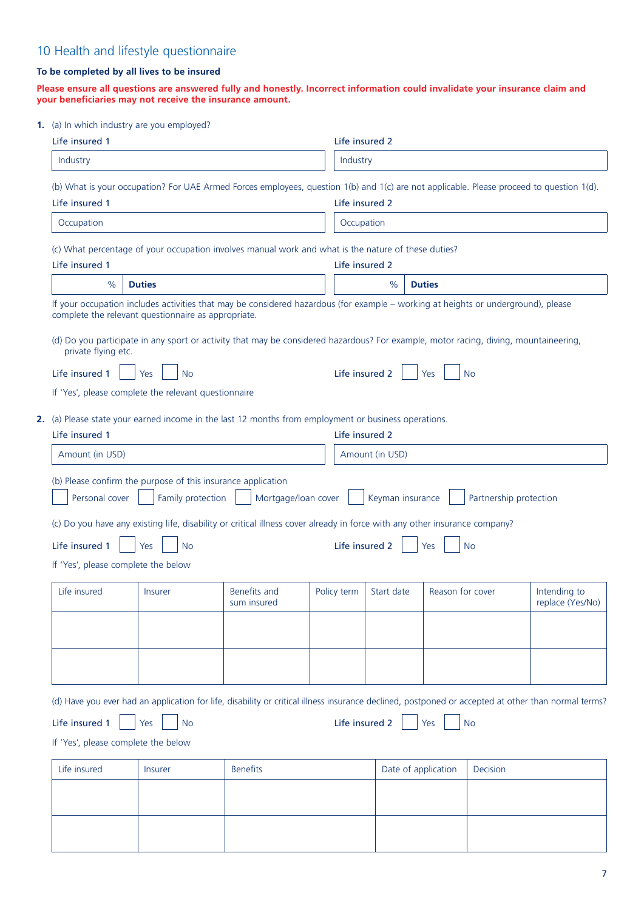## 10 Health and lifestyle questionnaire

#### **To be completed by all lives to be insured**

**Please ensure all questions are answered fully and honestly. Incorrect information could invalidate your insurance claim and your beneficiaries may not receive the insurance amount.**

**1.** (a) In which industry are you employed?

| Life insured 1                                                                                                                                                                                                                                                                                                                   | $\frac{1}{2}$ will can interest $\gamma$ and $\gamma$ or distinguish-                                                                                                                                                               |                             | Life insured 2 |                  |                     |                                     |                                  |  |  |  |
|----------------------------------------------------------------------------------------------------------------------------------------------------------------------------------------------------------------------------------------------------------------------------------------------------------------------------------|-------------------------------------------------------------------------------------------------------------------------------------------------------------------------------------------------------------------------------------|-----------------------------|----------------|------------------|---------------------|-------------------------------------|----------------------------------|--|--|--|
| Industry                                                                                                                                                                                                                                                                                                                         |                                                                                                                                                                                                                                     |                             |                | Industry         |                     |                                     |                                  |  |  |  |
| Life insured 1                                                                                                                                                                                                                                                                                                                   | (b) What is your occupation? For UAE Armed Forces employees, question 1(b) and 1(c) are not applicable. Please proceed to question 1(d).                                                                                            |                             | Life insured 2 |                  |                     |                                     |                                  |  |  |  |
| Occupation                                                                                                                                                                                                                                                                                                                       |                                                                                                                                                                                                                                     |                             | Occupation     |                  |                     |                                     |                                  |  |  |  |
|                                                                                                                                                                                                                                                                                                                                  |                                                                                                                                                                                                                                     |                             |                |                  |                     |                                     |                                  |  |  |  |
| Life insured 1                                                                                                                                                                                                                                                                                                                   | (c) What percentage of your occupation involves manual work and what is the nature of these duties?                                                                                                                                 |                             | Life insured 2 |                  |                     |                                     |                                  |  |  |  |
| $\frac{0}{0}$                                                                                                                                                                                                                                                                                                                    | <b>Duties</b>                                                                                                                                                                                                                       |                             |                | $\%$             | <b>Duties</b>       |                                     |                                  |  |  |  |
| If your occupation includes activities that may be considered hazardous (for example - working at heights or underground), please<br>complete the relevant questionnaire as appropriate.<br>(d) Do you participate in any sport or activity that may be considered hazardous? For example, motor racing, diving, mountaineering, |                                                                                                                                                                                                                                     |                             |                |                  |                     |                                     |                                  |  |  |  |
| private flying etc.                                                                                                                                                                                                                                                                                                              |                                                                                                                                                                                                                                     |                             |                |                  |                     |                                     |                                  |  |  |  |
| Life insured 1                                                                                                                                                                                                                                                                                                                   | Yes<br><b>No</b>                                                                                                                                                                                                                    |                             | Life insured 2 |                  | Yes                 | <b>No</b>                           |                                  |  |  |  |
|                                                                                                                                                                                                                                                                                                                                  | If 'Yes', please complete the relevant questionnaire                                                                                                                                                                                |                             |                |                  |                     |                                     |                                  |  |  |  |
|                                                                                                                                                                                                                                                                                                                                  | 2. (a) Please state your earned income in the last 12 months from employment or business operations.                                                                                                                                |                             |                |                  |                     |                                     |                                  |  |  |  |
| Life insured 1                                                                                                                                                                                                                                                                                                                   |                                                                                                                                                                                                                                     |                             | Life insured 2 |                  |                     |                                     |                                  |  |  |  |
| Amount (in USD)                                                                                                                                                                                                                                                                                                                  |                                                                                                                                                                                                                                     |                             |                | Amount (in USD)  |                     |                                     |                                  |  |  |  |
| Personal cover<br>Life insured 1<br>If 'Yes', please complete the below                                                                                                                                                                                                                                                          | (b) Please confirm the purpose of this insurance application<br>Family protection<br>(c) Do you have any existing life, disability or critical illness cover already in force with any other insurance company?<br><b>No</b><br>Yes | Mortgage/loan cover         | Life insured 2 | Keyman insurance | Yes                 | Partnership protection<br><b>No</b> |                                  |  |  |  |
| Life insured                                                                                                                                                                                                                                                                                                                     | Insurer                                                                                                                                                                                                                             | Benefits and<br>sum insured | Policy term    | Start date       | Reason for cover    |                                     | Intending to<br>replace (Yes/No) |  |  |  |
|                                                                                                                                                                                                                                                                                                                                  |                                                                                                                                                                                                                                     |                             |                |                  |                     |                                     |                                  |  |  |  |
|                                                                                                                                                                                                                                                                                                                                  |                                                                                                                                                                                                                                     |                             |                |                  |                     |                                     |                                  |  |  |  |
| Life insured 1<br>If 'Yes', please complete the below                                                                                                                                                                                                                                                                            | (d) Have you ever had an application for life, disability or critical illness insurance declined, postponed or accepted at other than normal terms?<br><b>No</b><br>Yes                                                             |                             | Life insured 2 |                  | Yes                 | <b>No</b>                           |                                  |  |  |  |
| Life insured                                                                                                                                                                                                                                                                                                                     | <b>Insurer</b>                                                                                                                                                                                                                      | <b>Benefits</b>             |                |                  | Date of application | Decision                            |                                  |  |  |  |
|                                                                                                                                                                                                                                                                                                                                  |                                                                                                                                                                                                                                     |                             |                |                  |                     |                                     |                                  |  |  |  |
|                                                                                                                                                                                                                                                                                                                                  |                                                                                                                                                                                                                                     |                             |                |                  |                     |                                     |                                  |  |  |  |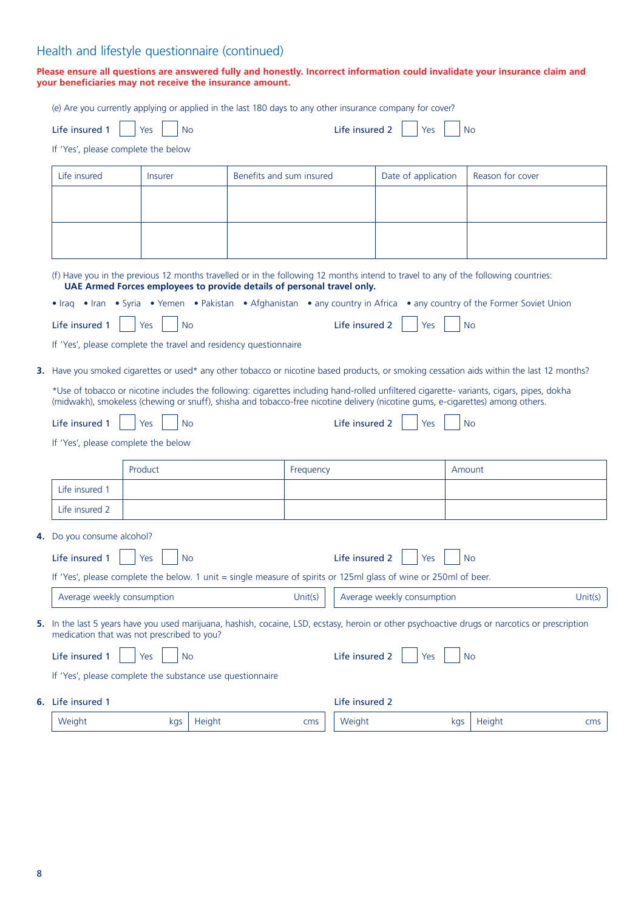## Health and lifestyle questionnaire (continued)

#### **Please ensure all questions are answered fully and honestly. Incorrect information could invalidate your insurance claim and your beneficiaries may not receive the insurance amount.**

(e) Are you currently applying or applied in the last 180 days to any other insurance company for cover?

| Life insured 1 $\Box$ Yes $\Box$ No |  |  | Life insured 2 $\Box$ Yes $\Box$ No |  |  |
|-------------------------------------|--|--|-------------------------------------|--|--|
|                                     |  |  |                                     |  |  |

If 'Yes', please complete the below

| Life insured                               | Insurer          |                                                                        | Benefits and sum insured | Date of application                                                                                                                                                                                                                                                        |           | Reason for cover |         |
|--------------------------------------------|------------------|------------------------------------------------------------------------|--------------------------|----------------------------------------------------------------------------------------------------------------------------------------------------------------------------------------------------------------------------------------------------------------------------|-----------|------------------|---------|
|                                            |                  |                                                                        |                          |                                                                                                                                                                                                                                                                            |           |                  |         |
|                                            |                  |                                                                        |                          |                                                                                                                                                                                                                                                                            |           |                  |         |
|                                            |                  |                                                                        |                          |                                                                                                                                                                                                                                                                            |           |                  |         |
|                                            |                  |                                                                        |                          |                                                                                                                                                                                                                                                                            |           |                  |         |
|                                            |                  | UAE Armed Forces employees to provide details of personal travel only. |                          | (f) Have you in the previous 12 months travelled or in the following 12 months intend to travel to any of the following countries:                                                                                                                                         |           |                  |         |
|                                            |                  |                                                                        |                          | • Iraq • Iran • Syria • Yemen • Pakistan • Afghanistan • any country in Africa • any country of the Former Soviet Union                                                                                                                                                    |           |                  |         |
| Life insured 1                             | <b>No</b><br>Yes |                                                                        |                          | Life insured 2<br>Yes                                                                                                                                                                                                                                                      | <b>No</b> |                  |         |
|                                            |                  | If 'Yes', please complete the travel and residency questionnaire       |                          |                                                                                                                                                                                                                                                                            |           |                  |         |
|                                            |                  |                                                                        |                          | 3. Have you smoked cigarettes or used* any other tobacco or nicotine based products, or smoking cessation aids within the last 12 months?                                                                                                                                  |           |                  |         |
|                                            |                  |                                                                        |                          |                                                                                                                                                                                                                                                                            |           |                  |         |
|                                            |                  |                                                                        |                          | *Use of tobacco or nicotine includes the following: cigarettes including hand-rolled unfiltered cigarette-variants, cigars, pipes, dokha<br>(midwakh), smokeless (chewing or snuff), shisha and tobacco-free nicotine delivery (nicotine gums, e-cigarettes) among others. |           |                  |         |
| Life insured 1                             | Yes<br><b>No</b> |                                                                        |                          | Life insured 2<br>Yes                                                                                                                                                                                                                                                      | <b>No</b> |                  |         |
| If 'Yes', please complete the below        |                  |                                                                        |                          |                                                                                                                                                                                                                                                                            |           |                  |         |
|                                            | Product          |                                                                        |                          |                                                                                                                                                                                                                                                                            | Amount    |                  |         |
|                                            |                  |                                                                        | Frequency                |                                                                                                                                                                                                                                                                            |           |                  |         |
| Life insured 1                             |                  |                                                                        |                          |                                                                                                                                                                                                                                                                            |           |                  |         |
| Life insured 2                             |                  |                                                                        |                          |                                                                                                                                                                                                                                                                            |           |                  |         |
| 4. Do you consume alcohol?                 |                  |                                                                        |                          |                                                                                                                                                                                                                                                                            |           |                  |         |
| Life insured 1                             | Yes<br><b>No</b> |                                                                        |                          | Life insured 2<br>Yes                                                                                                                                                                                                                                                      | <b>No</b> |                  |         |
|                                            |                  |                                                                        |                          | If 'Yes', please complete the below. 1 unit = single measure of spirits or 125ml glass of wine or 250ml of beer.                                                                                                                                                           |           |                  |         |
| Average weekly consumption                 |                  |                                                                        | Unit(s)                  | Average weekly consumption                                                                                                                                                                                                                                                 |           |                  | Unit(s) |
|                                            |                  |                                                                        |                          | 5. In the last 5 years have you used marijuana, hashish, cocaine, LSD, ecstasy, heroin or other psychoactive drugs or narcotics or prescription                                                                                                                            |           |                  |         |
| medication that was not prescribed to you? |                  |                                                                        |                          |                                                                                                                                                                                                                                                                            |           |                  |         |
| Life insured 1                             | Yes<br><b>No</b> |                                                                        |                          | Life insured 2<br>Yes                                                                                                                                                                                                                                                      | <b>No</b> |                  |         |
|                                            |                  | If 'Yes', please complete the substance use questionnaire              |                          |                                                                                                                                                                                                                                                                            |           |                  |         |
| 6. Life insured 1                          |                  |                                                                        |                          | Life insured 2                                                                                                                                                                                                                                                             |           |                  |         |
| Weight                                     | kgs              | Height                                                                 | cms                      | Weight                                                                                                                                                                                                                                                                     | kgs       | Height           | cms     |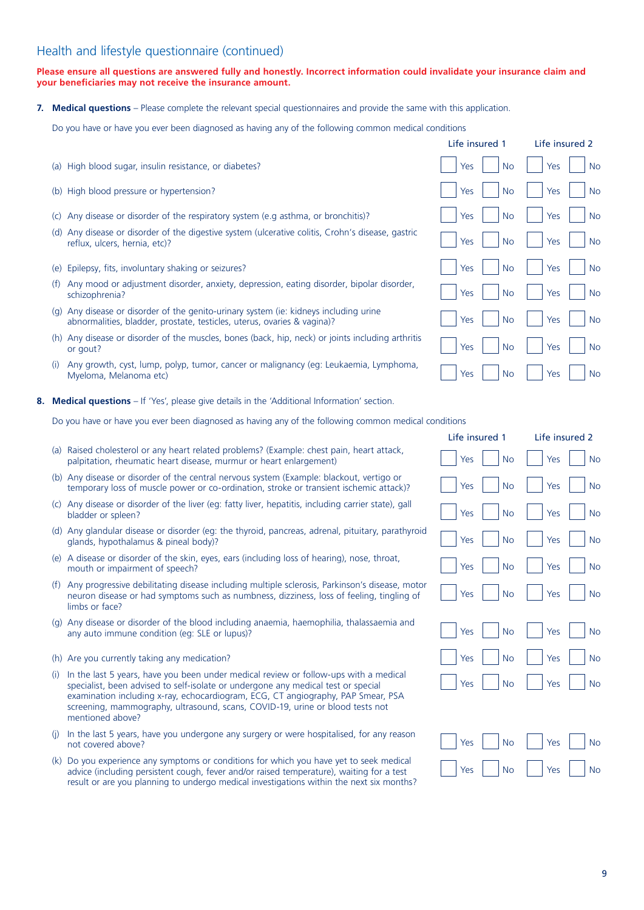#### Health and lifestyle questionnaire (continued)

#### **Please ensure all questions are answered fully and honestly. Incorrect information could invalidate your insurance claim and your beneficiaries may not receive the insurance amount.**

**7. Medical questions** – Please complete the relevant special questionnaires and provide the same with this application.

Do you have or have you ever been diagnosed as having any of the following common medical conditions

- Life insured 1 Life insured 2 (a) High blood sugar, insulin resistance, or diabetes? No Yes No Yes No Yes No Yes No Yes No Yes No Yes No Yes No (b) High blood pressure or hypertension? The Second Second Second Second Second Second Second Second Second Second Second Second Second Second Second Second Second Second Second Second Second Second Second Second Second Se (c) Any disease or disorder of the respiratory system (e.g asthma, or bronchitis)? Yes No Yes No (d) Any disease or disorder of the digestive system (ulcerative colitis, Crohn's disease, gastric reflux, ulcers, hernia, etc)? The Contract of the Contract of the Contract of the Vest No Yes No Yes No Yes No (e) Epilepsy, fits, involuntary shaking or seizures? Yes No Yes No Yes No Yes No Yes No Yes No Yes No Yes No Yes No (f) Any mood or adjustment disorder, anxiety, depression, eating disorder, bipolar disorder, schizophrenia? Yes No Yes No Yes No Yes No Yes No Yes No Yes No Yes No Yes No Yes No Yes No Yes No Yes No Yes (g) Any disease or disorder of the genito-urinary system (ie: kidneys including urine abnormalities, bladder, prostate, testicles, uterus, ovaries & vagina)? No Yes No Yes No Yes No Yes No (h) Any disease or disorder of the muscles, bones (back, hip, neck) or joints including arthritis or gout? No Yes No Yes No Yes No Yes No Yes No Yes No Yes No Yes No Yes No Yes No Yes No Yes No Yes No Yes No Yes No Yes No Yes No Yes No Yes No Yes No Yes No Yes No Yes No Yes No Yes No Yes No Yes No Yes No Yes No Yes No (i) Any growth, cyst, lump, polyp, tumor, cancer or malignancy (eg: Leukaemia, Lymphoma, Myeloma, Melanoma etc) Mondantel Bandania, American Communication and Melanoma (No Yes No Yes No Yes No Yes No
- **8. Medical questions** If 'Yes', please give details in the 'Additional Information' section.

Do you have or have you ever been diagnosed as having any of the following common medical conditions

- (a) Raised cholesterol or any heart related problems? (Example: chest pain, heart attack, palpitation, rheumatic heart disease, murmur or heart enlargement)
- (b) Any disease or disorder of the central nervous system (Example: blackout, vertigo or temporary loss of muscle power or co-ordination, stroke or transient ischemic attack)?
- (c) Any disease or disorder of the liver (eg: fatty liver, hepatitis, including carrier state), gall bladder or spleen?
- (d) Any glandular disease or disorder (eg: the thyroid, pancreas, adrenal, pituitary, parathyroid glands, hypothalamus & pineal body)?
- (e) A disease or disorder of the skin, eyes, ears (including loss of hearing), nose, throat, mouth or impairment of speech?
- (f) Any progressive debilitating disease including multiple sclerosis, Parkinson's disease, motor neuron disease or had symptoms such as numbness, dizziness, loss of feeling, tingling of limbs or face?
- (g) Any disease or disorder of the blood including anaemia, haemophilia, thalassaemia and any auto immune condition (eq: SLE or lupus)?
- (h) Are you currently taking any medication?
- (i) In the last 5 years, have you been under medical review or follow-ups with a medical specialist, been advised to self-isolate or undergone any medical test or special examination including x-ray, echocardiogram, ECG, CT angiography, PAP Smear, PSA screening, mammography, ultrasound, scans, COVID-19, urine or blood tests not mentioned above?
- (j) In the last 5 years, have you undergone any surgery or were hospitalised, for any reason not covered above?
- (k) Do you experience any symptoms or conditions for which you have yet to seek medical advice (including persistent cough, fever and/or raised temperature), waiting for a test result or are you planning to undergo medical investigations within the next six months?

| Life insured 1 |                             | Life insured 2                 |                             |
|----------------|-----------------------------|--------------------------------|-----------------------------|
| $ $   Yes      | $\vert$ $\vert$ No          | $\vert$ $\vert$ Yes            | No                          |
| $\vert$ Yes    | $\vert$ No                  | Yes                            | $\vert$ No                  |
| Yes            | $\overline{\phantom{a}}$ No | $ $ $ $ Yes                    | $\big $ No                  |
| Yes            | $\overline{\phantom{a}}$ No | Yes                            | $\vert$ No                  |
| $\vert$ Yes    | $\overline{\phantom{a}}$ No | $\vert$ $\vert$ Yes            | $\big $ No                  |
| $\vert$ Yes    | $\vert$ $\vert$ No          | $\vert$ $\vert$ Yes            | $\vert$ No                  |
| Yes            |                             | $\vert$ $\vert$ No $\vert$ Yes | I.<br>$\big $ No            |
| $\vert$ Yes    | $\overline{\phantom{a}}$ No | $\vert$ $\vert$ Yes            | $\vert$ No                  |
| $\vert$ Yes    | $\vert$ No                  | $\vert$ $\vert$ Yes            | $\overline{\phantom{a}}$ No |
|                |                             |                                |                             |
| Yes            | $\overline{\phantom{a}}$ No | Yes                            | <b>No</b>                   |
| Yes            | $\sqrt{N}$                  | Yes                            | <b>No</b>                   |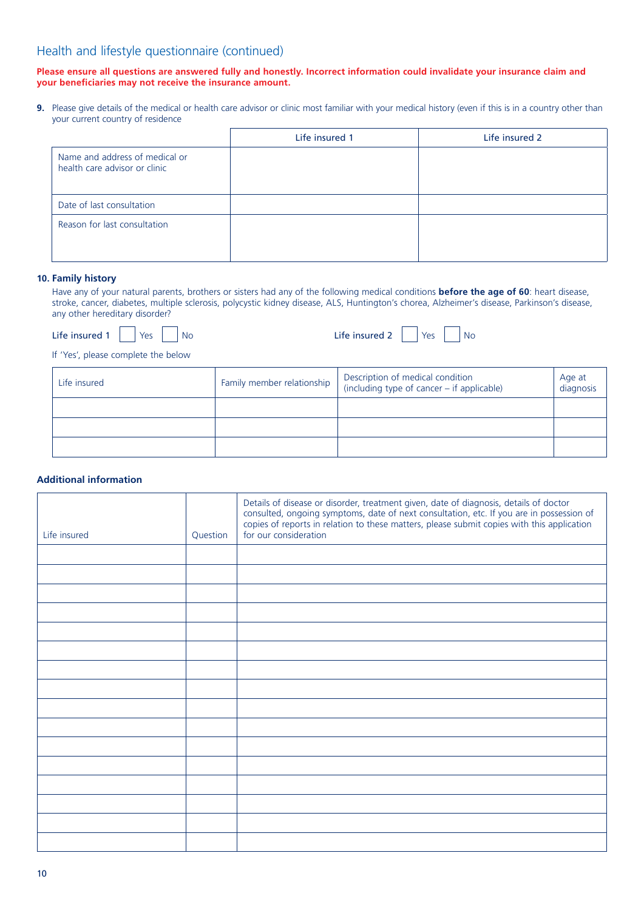### Health and lifestyle questionnaire (continued)

#### **Please ensure all questions are answered fully and honestly. Incorrect information could invalidate your insurance claim and your beneficiaries may not receive the insurance amount.**

**9.** Please give details of the medical or health care advisor or clinic most familiar with your medical history (even if this is in a country other than your current country of residence

|                                                                 | Life insured 1 | Life insured 2 |
|-----------------------------------------------------------------|----------------|----------------|
| Name and address of medical or<br>health care advisor or clinic |                |                |
| Date of last consultation                                       |                |                |
| Reason for last consultation                                    |                |                |

#### **10. Family history**

Have any of your natural parents, brothers or sisters had any of the following medical conditions **before the age of 60**: heart disease, stroke, cancer, diabetes, multiple sclerosis, polycystic kidney disease, ALS, Huntington's chorea, Alzheimer's disease, Parkinson's disease, any other hereditary disorder?

| Life insured $1 \mid \frac{1}{100}$   Yes     No |  |
|--------------------------------------------------|--|
|--------------------------------------------------|--|

Life insured 2 Yes No

If 'Yes', please complete the below

| Life insured | Family member relationship | Description of medical condition<br>$\frac{1}{2}$ (including type of cancer – if applicable) | Age at<br>diagnosis |
|--------------|----------------------------|----------------------------------------------------------------------------------------------|---------------------|
|              |                            |                                                                                              |                     |
|              |                            |                                                                                              |                     |
|              |                            |                                                                                              |                     |

#### **Additional information**

| Life insured | Question | Details of disease or disorder, treatment given, date of diagnosis, details of doctor<br>consulted, ongoing symptoms, date of next consultation, etc. If you are in possession of<br>copies of reports in relation to these matters, please submit copies with this application<br>for our consideration |
|--------------|----------|----------------------------------------------------------------------------------------------------------------------------------------------------------------------------------------------------------------------------------------------------------------------------------------------------------|
|              |          |                                                                                                                                                                                                                                                                                                          |
|              |          |                                                                                                                                                                                                                                                                                                          |
|              |          |                                                                                                                                                                                                                                                                                                          |
|              |          |                                                                                                                                                                                                                                                                                                          |
|              |          |                                                                                                                                                                                                                                                                                                          |
|              |          |                                                                                                                                                                                                                                                                                                          |
|              |          |                                                                                                                                                                                                                                                                                                          |
|              |          |                                                                                                                                                                                                                                                                                                          |
|              |          |                                                                                                                                                                                                                                                                                                          |
|              |          |                                                                                                                                                                                                                                                                                                          |
|              |          |                                                                                                                                                                                                                                                                                                          |
|              |          |                                                                                                                                                                                                                                                                                                          |
|              |          |                                                                                                                                                                                                                                                                                                          |
|              |          |                                                                                                                                                                                                                                                                                                          |
|              |          |                                                                                                                                                                                                                                                                                                          |
|              |          |                                                                                                                                                                                                                                                                                                          |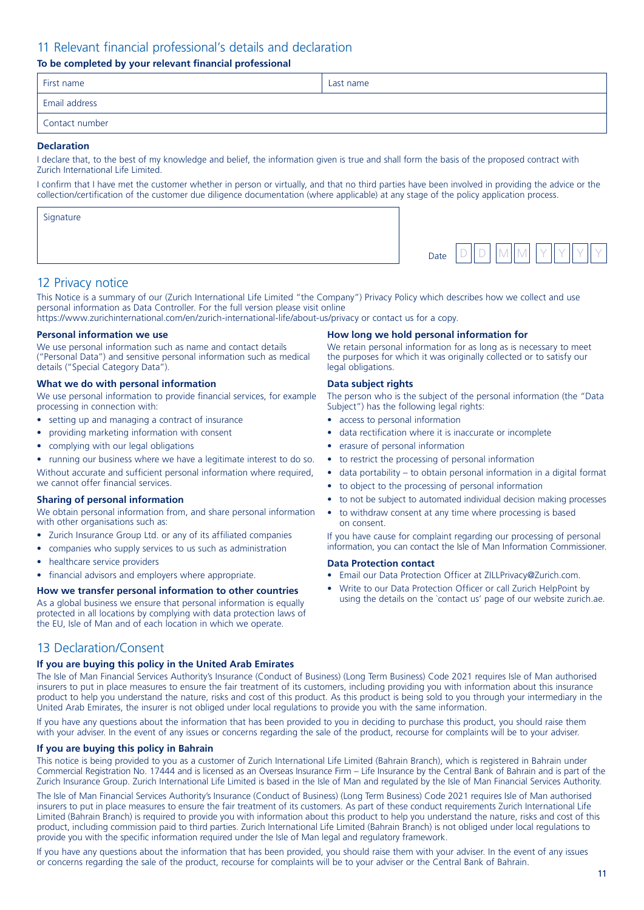### 11 Relevant financial professional's details and declaration

#### **To be completed by your relevant financial professional**

| First name     | Last name |
|----------------|-----------|
| Email address  |           |
| Contact number |           |

#### **Declaration**

I declare that, to the best of my knowledge and belief, the information given is true and shall form the basis of the proposed contract with Zurich International Life Limited.

I confirm that I have met the customer whether in person or virtually, and that no third parties have been involved in providing the advice or the collection/certification of the customer due diligence documentation (where applicable) at any stage of the policy application process.

| Signature |                                                          |
|-----------|----------------------------------------------------------|
|           | <b>STATES</b><br>M <sub>1</sub><br>Date<br>◡<br>۔<br>. . |

#### 12 Privacy notice

This Notice is a summary of our (Zurich International Life Limited "the Company") Privacy Policy which describes how we collect and use personal information as Data Controller. For the full version please visit online

https://www.zurichinternational.com/en/zurich-international-life/about-us/privacy or contact us for a copy.

#### **Personal information we use**

We use personal information such as name and contact details ("Personal Data") and sensitive personal information such as medical details ("Special Category Data").

#### **What we do with personal information**

We use personal information to provide financial services, for example processing in connection with:

- setting up and managing a contract of insurance
- providing marketing information with consent
- complying with our legal obligations
- running our business where we have a legitimate interest to do so.

Without accurate and sufficient personal information where required, we cannot offer financial services.

#### **Sharing of personal information**

We obtain personal information from, and share personal information with other organisations such as:

- Zurich Insurance Group Ltd. or any of its affiliated companies
- companies who supply services to us such as administration
- healthcare service providers
- financial advisors and employers where appropriate.

#### **How we transfer personal information to other countries**

As a global business we ensure that personal information is equally protected in all locations by complying with data protection laws of the EU, Isle of Man and of each location in which we operate.

#### 13 Declaration/Consent

#### **If you are buying this policy in the United Arab Emirates**

The Isle of Man Financial Services Authority's Insurance (Conduct of Business) (Long Term Business) Code 2021 requires Isle of Man authorised insurers to put in place measures to ensure the fair treatment of its customers, including providing you with information about this insurance product to help you understand the nature, risks and cost of this product. As this product is being sold to you through your intermediary in the United Arab Emirates, the insurer is not obliged under local regulations to provide you with the same information.

If you have any questions about the information that has been provided to you in deciding to purchase this product, you should raise them with your adviser. In the event of any issues or concerns regarding the sale of the product, recourse for complaints will be to your adviser.

#### **If you are buying this policy in Bahrain**

This notice is being provided to you as a customer of Zurich International Life Limited (Bahrain Branch), which is registered in Bahrain under Commercial Registration No. 17444 and is licensed as an Overseas Insurance Firm – Life Insurance by the Central Bank of Bahrain and is part of the Zurich Insurance Group. Zurich International Life Limited is based in the Isle of Man and regulated by the Isle of Man Financial Services Authority.

The Isle of Man Financial Services Authority's Insurance (Conduct of Business) (Long Term Business) Code 2021 requires Isle of Man authorised insurers to put in place measures to ensure the fair treatment of its customers. As part of these conduct requirements Zurich International Life Limited (Bahrain Branch) is required to provide you with information about this product to help you understand the nature, risks and cost of this product, including commission paid to third parties. Zurich International Life Limited (Bahrain Branch) is not obliged under local regulations to provide you with the specific information required under the Isle of Man legal and regulatory framework.

If you have any questions about the information that has been provided, you should raise them with your adviser. In the event of any issues or concerns regarding the sale of the product, recourse for complaints will be to your adviser or the Central Bank of Bahrain.

#### **How long we hold personal information for**

We retain personal information for as long as is necessary to meet the purposes for which it was originally collected or to satisfy our legal obligations.

#### **Data subject rights**

The person who is the subject of the personal information (the "Data Subject") has the following legal rights:

- access to personal information
- data rectification where it is inaccurate or incomplete
- erasure of personal information
- to restrict the processing of personal information
- data portability to obtain personal information in a digital format
- to object to the processing of personal information
- to not be subject to automated individual decision making processes
- to withdraw consent at any time where processing is based on consent.

If you have cause for complaint regarding our processing of personal information, you can contact the Isle of Man Information Commissioner.

#### **Data Protection contact**

- Email our Data Protection Officer at ZILLPrivacy@Zurich.com.
- Write to our Data Protection Officer or call Zurich HelpPoint by using the details on the `contact us' page of our website zurich.ae.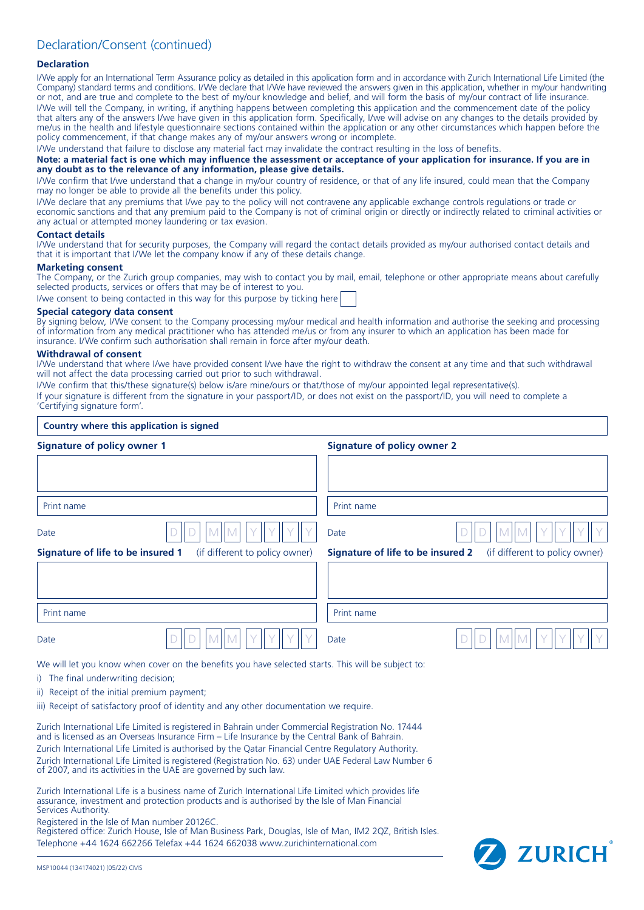## Declaration/Consent (continued)

#### **Declaration**

I/We apply for an International Term Assurance policy as detailed in this application form and in accordance with Zurich International Life Limited (the Company) standard terms and conditions. I/We declare that I/We have reviewed the answers given in this application, whether in my/our handwriting or not, and are true and complete to the best of my/our knowledge and belief, and will form the basis of my/our contract of life insurance. I/We will tell the Company, in writing, if anything happens between completing this application and the commencement date of the policy that alters any of the answers I/we have given in this application form. Specifically, I/we will advise on any changes to the details provided by me/us in the health and lifestyle questionnaire sections contained within the application or any other circumstances which happen before the policy commencement, if that change makes any of my/our answers wrong or incomplete.

I/We understand that failure to disclose any material fact may invalidate the contract resulting in the loss of benefits.

#### **Note: a material fact is one which may influence the assessment or acceptance of your application for insurance. If you are in any doubt as to the relevance of any information, please give details.**

I/We confirm that I/we understand that a change in my/our country of residence, or that of any life insured, could mean that the Company may no longer be able to provide all the benefits under this policy.

I/We declare that any premiums that I/we pay to the policy will not contravene any applicable exchange controls regulations or trade or economic sanctions and that any premium paid to the Company is not of criminal origin or directly or indirectly related to criminal activities or any actual or attempted money laundering or tax evasion.

#### **Contact details**

I/We understand that for security purposes, the Company will regard the contact details provided as my/our authorised contact details and that it is important that I/We let the company know if any of these details change.

#### **Marketing consent**

The Company, or the Zurich group companies, may wish to contact you by mail, email, telephone or other appropriate means about carefully selected products, services or offers that may be of interest to you.

I/we consent to being contacted in this way for this purpose by ticking here

#### **Special category data consent**

By signing below, I/We consent to the Company processing my/our medical and health information and authorise the seeking and processing of information from any medical practitioner who has attended me/us or from any insurer to which an application has been made for insurance. I/We confirm such authorisation shall remain in force after my/our death.

#### **Withdrawal of consent**

I/We understand that where I/we have provided consent I/we have the right to withdraw the consent at any time and that such withdrawal will not affect the data processing carried out prior to such withdrawal.

I/We confirm that this/these signature(s) below is/are mine/ours or that/those of my/our appointed legal representative(s). If your signature is different from the signature in your passport/ID, or does not exist on the passport/ID, you will need to complete a 'Certifying signature form'.

| Country where this application is signed |  |                                |                                    |                                          |  |                                |  |
|------------------------------------------|--|--------------------------------|------------------------------------|------------------------------------------|--|--------------------------------|--|
| <b>Signature of policy owner 1</b>       |  |                                | <b>Signature of policy owner 2</b> |                                          |  |                                |  |
|                                          |  |                                |                                    |                                          |  |                                |  |
| Print name                               |  |                                | Print name                         |                                          |  |                                |  |
| Date                                     |  |                                | Date                               |                                          |  |                                |  |
| Signature of life to be insured 1        |  | (if different to policy owner) |                                    | <b>Signature of life to be insured 2</b> |  | (if different to policy owner) |  |
|                                          |  |                                |                                    |                                          |  |                                |  |
| Print name                               |  |                                | Print name                         |                                          |  |                                |  |
| Date                                     |  |                                | Date                               |                                          |  |                                |  |

We will let you know when cover on the benefits you have selected starts. This will be subject to:

i) The final underwriting decision;

ii) Receipt of the initial premium payment;

iii) Receipt of satisfactory proof of identity and any other documentation we require.

Zurich International Life Limited is registered in Bahrain under Commercial Registration No. 17444 and is licensed as an Overseas Insurance Firm – Life Insurance by the Central Bank of Bahrain. Zurich International Life Limited is authorised by the Qatar Financial Centre Regulatory Authority. Zurich International Life Limited is registered (Registration No. 63) under UAE Federal Law Number 6 of 2007, and its activities in the UAE are governed by such law.

Zurich International Life is a business name of Zurich International Life Limited which provides life assurance, investment and protection products and is authorised by the Isle of Man Financial Services Authority.

Registered in the Isle of Man number 20126C.

Registered office: Zurich House, Isle of Man Business Park, Douglas, Isle of Man, IM2 2QZ, British Isles. Telephone +44 1624 662266 Telefax +44 1624 662038 www.zurichinternational.com

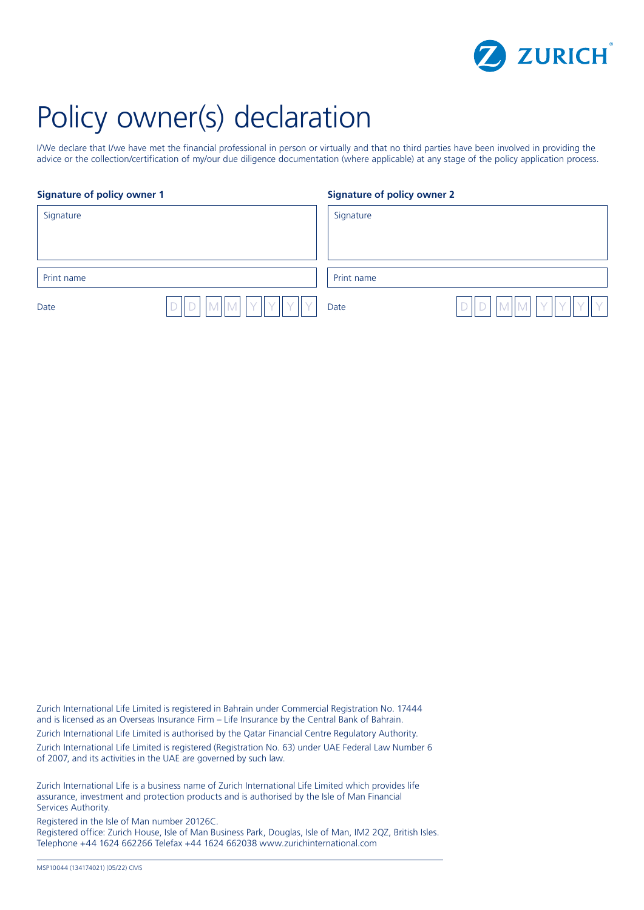

# Policy owner(s) declaration

I/We declare that I/we have met the financial professional in person or virtually and that no third parties have been involved in providing the advice or the collection/certification of my/our due diligence documentation (where applicable) at any stage of the policy application process.

| <b>Signature of policy owner 1</b> |                 | <b>Signature of policy owner 2</b> |              |  |  |
|------------------------------------|-----------------|------------------------------------|--------------|--|--|
| Signature                          |                 | Signature                          |              |  |  |
|                                    |                 |                                    |              |  |  |
| Print name                         |                 | Print name                         |              |  |  |
| Date                               | $M$ $M$ $Y$ $Y$ | Date                               | $\mathsf{M}$ |  |  |

Zurich International Life Limited is registered in Bahrain under Commercial Registration No. 17444 and is licensed as an Overseas Insurance Firm – Life Insurance by the Central Bank of Bahrain. Zurich International Life Limited is authorised by the Qatar Financial Centre Regulatory Authority. Zurich International Life Limited is registered (Registration No. 63) under UAE Federal Law Number 6 of 2007, and its activities in the UAE are governed by such law.

Zurich International Life is a business name of Zurich International Life Limited which provides life assurance, investment and protection products and is authorised by the Isle of Man Financial Services Authority.

Registered in the Isle of Man number 20126C.

Registered office: Zurich House, Isle of Man Business Park, Douglas, Isle of Man, IM2 2QZ, British Isles. Telephone +44 1624 662266 Telefax +44 1624 662038 www.zurichinternational.com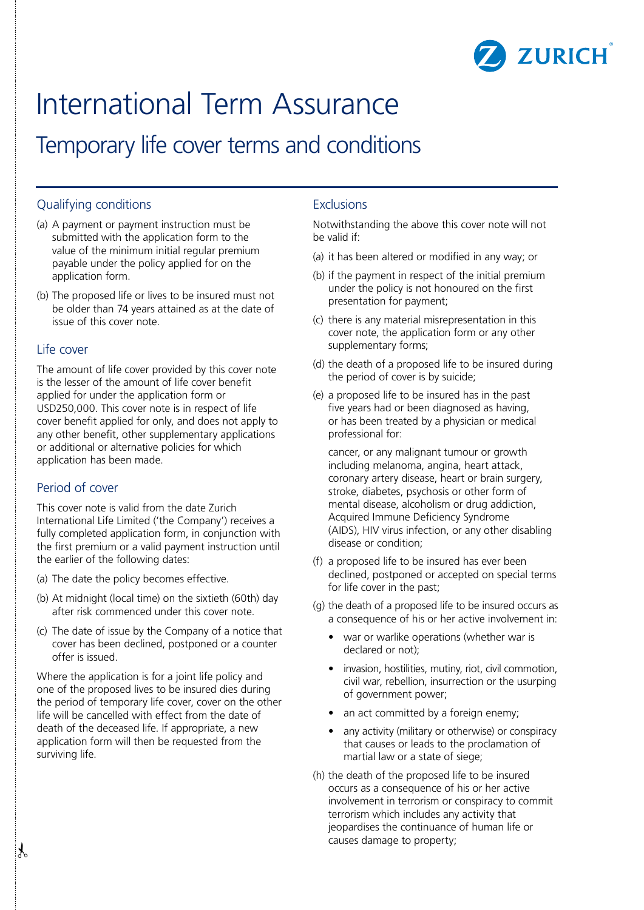

## International Term Assurance

## Temporary life cover terms and conditions

## Qualifying conditions

- (a) A payment or payment instruction must be submitted with the application form to the value of the minimum initial regular premium payable under the policy applied for on the application form.
- (b) The proposed life or lives to be insured must not be older than 74 years attained as at the date of issue of this cover note.

#### Life cover

The amount of life cover provided by this cover note is the lesser of the amount of life cover benefit applied for under the application form or USD250,000. This cover note is in respect of life cover benefit applied for only, and does not apply to any other benefit, other supplementary applications or additional or alternative policies for which application has been made.

### Period of cover

 $\mathcal{X}$ 

This cover note is valid from the date Zurich International Life Limited ('the Company') receives a fully completed application form, in conjunction with the first premium or a valid payment instruction until the earlier of the following dates:

- (a) The date the policy becomes effective.
- (b) At midnight (local time) on the sixtieth (60th) day after risk commenced under this cover note.
- (c) The date of issue by the Company of a notice that cover has been declined, postponed or a counter offer is issued.

Where the application is for a joint life policy and one of the proposed lives to be insured dies during the period of temporary life cover, cover on the other life will be cancelled with effect from the date of death of the deceased life. If appropriate, a new application form will then be requested from the surviving life.

### **Exclusions**

Notwithstanding the above this cover note will not be valid if:

- (a) it has been altered or modified in any way; or
- (b) if the payment in respect of the initial premium under the policy is not honoured on the first presentation for payment;
- (c) there is any material misrepresentation in this cover note, the application form or any other supplementary forms;
- (d) the death of a proposed life to be insured during the period of cover is by suicide;
- (e) a proposed life to be insured has in the past five years had or been diagnosed as having, or has been treated by a physician or medical professional for:

cancer, or any malignant tumour or growth including melanoma, angina, heart attack, coronary artery disease, heart or brain surgery, stroke, diabetes, psychosis or other form of mental disease, alcoholism or drug addiction, Acquired Immune Deficiency Syndrome (AIDS), HIV virus infection, or any other disabling disease or condition;

- (f) a proposed life to be insured has ever been declined, postponed or accepted on special terms for life cover in the past;
- (g) the death of a proposed life to be insured occurs as a consequence of his or her active involvement in:
	- war or warlike operations (whether war is declared or not);
	- invasion, hostilities, mutiny, riot, civil commotion, civil war, rebellion, insurrection or the usurping of government power;
	- an act committed by a foreign enemy;
	- any activity (military or otherwise) or conspiracy that causes or leads to the proclamation of martial law or a state of siege;
- (h) the death of the proposed life to be insured occurs as a consequence of his or her active involvement in terrorism or conspiracy to commit terrorism which includes any activity that jeopardises the continuance of human life or causes damage to property;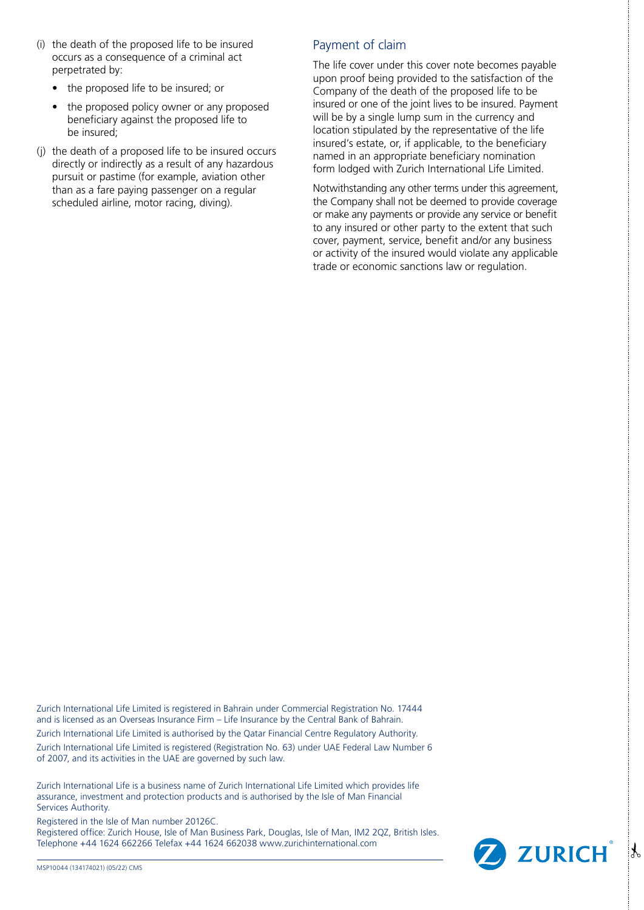- (i) the death of the proposed life to be insured occurs as a consequence of a criminal act perpetrated by:
	- the proposed life to be insured; or
	- the proposed policy owner or any proposed beneficiary against the proposed life to be insured;
- (j) the death of a proposed life to be insured occurs directly or indirectly as a result of any hazardous pursuit or pastime (for example, aviation other than as a fare paying passenger on a regular scheduled airline, motor racing, diving).

## Payment of claim

The life cover under this cover note becomes payable upon proof being provided to the satisfaction of the Company of the death of the proposed life to be insured or one of the joint lives to be insured. Payment will be by a single lump sum in the currency and location stipulated by the representative of the life insured's estate, or, if applicable, to the beneficiary named in an appropriate beneficiary nomination form lodged with Zurich International Life Limited.

Notwithstanding any other terms under this agreement, the Company shall not be deemed to provide coverage or make any payments or provide any service or benefit to any insured or other party to the extent that such cover, payment, service, benefit and/or any business or activity of the insured would violate any applicable trade or economic sanctions law or regulation.

Zurich International Life Limited is registered in Bahrain under Commercial Registration No. 17444 and is licensed as an Overseas Insurance Firm – Life Insurance by the Central Bank of Bahrain. Zurich International Life Limited is authorised by the Qatar Financial Centre Regulatory Authority. Zurich International Life Limited is registered (Registration No. 63) under UAE Federal Law Number 6 of 2007, and its activities in the UAE are governed by such law.

Zurich International Life is a business name of Zurich International Life Limited which provides life assurance, investment and protection products and is authorised by the Isle of Man Financial Services Authority.

Registered in the Isle of Man number 20126C.

Registered office: Zurich House, Isle of Man Business Park, Douglas, Isle of Man, IM2 2QZ, British Isles. Telephone +44 1624 662266 Telefax +44 1624 662038 www.zurichinternational.com

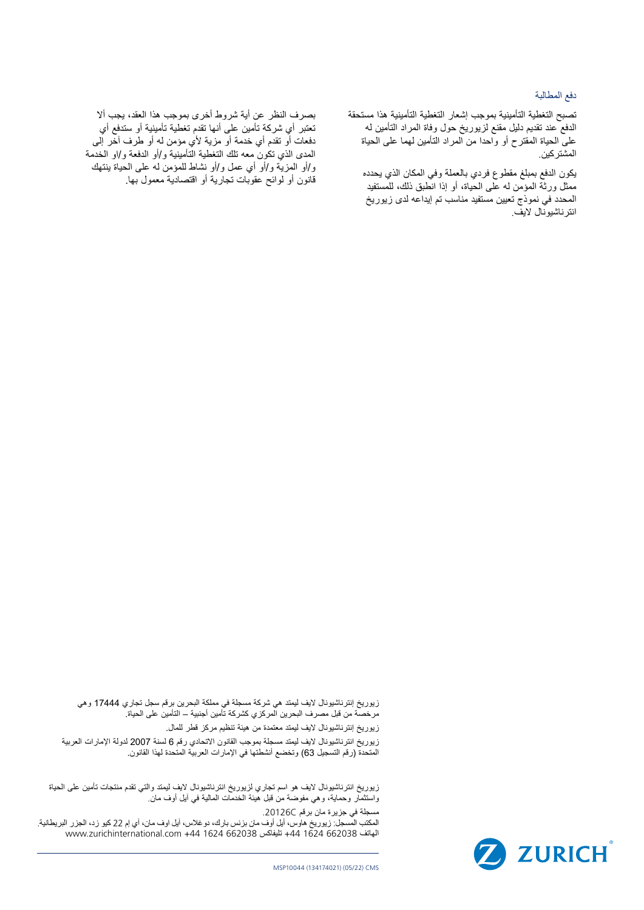#### دفع المطالبة

تصبح التغطیة التأمینیة بموجب إشعار التغطیة التأمینیة ھذا مستحقة الدفع عند تقدیم دلیل مقنع لزیوریخ حول وفاة المراد التأمین لھ على الحیاة المقترح أو واحدا من المراد التأمین لھما على الحیاة المشتركین.

یكون الدفع بمبلغ مقطوع فردي بالعملة وفي المكان الذي یحدده ممثل ورثة المؤمن لھ على الحیاة، أو إذا انطبق ذلك، للمستفید المحدد في نموذج تعیین مستفید مناسب تم إیداعھ لدى زیوریخ انترناشیونال لایف.

بصرف النظر عن أیة شروط أخرى بموجب ھذا العقد، یجب ألا تعتبر أي شركة تأمین على أنھا تقدم تغطیة تأمینیة أو ستدفع أي دفعات أو تقدم أي خدمة أو مزیة لأي مؤمن لھ أو طرف آخر إلى المدى الذي تكون معھ تلك التغطیة التأمینیة و/أو الدفعة و/او الخدمة و/أو المزیة و/أو أي عمل و/أو نشاط للمؤمن لھ على الحیاة ینتھك قانون أو لوائح عقوبات تجاریة أو اقتصادیة معمول بھا.

زیوریخ إنترناشیونال لایف لیمتد ھي شركة مسجلة في مملكة البحرین برقم سجل تجاري 17444 وھي مرخصة من قبل مصرف البحرین المركزي كشركة تأمین أجنبیة – التأمین على الحیاة.

زیوریخ إنترناشیونال لایف لیمتد معتمدة من ھیئة تنظیم مركز قطر للمال.

زیوریخ انترناشیونال لایف لیمتد مسجلة بموجب القانون الاتحادي رقم 6 لسنة 2007 لدولة الإمارات العربیة المتحدة (رقم التسجیل 63) وتخضع أنشطتھا في الإمارات العربیة المتحدة لھذا القانون.

زیوریخ انترناشیونال لایف ھو اسم تجاري لزیوریخ انترناشیونال لایف لیمتد والتي تقدم منتجات تأمین على الحیاة واستثمار وحمایة، وھي مفوضة من قبل ھیئة الخدمات المالیة في آیل أوف مان.

مسجلة في جزیرة مان برقم C.20126 المكتب المسجل: زیوریخ ھاوس، أیل أوف مان بزنس بارك، دوغلاس، آیل اوف مان، آي إم 22 كیو زد، الجزر البریطانیة. www.zurichinternational.com +44 1624 662038 تلیفاكس +44 1624 662038 الھاتف